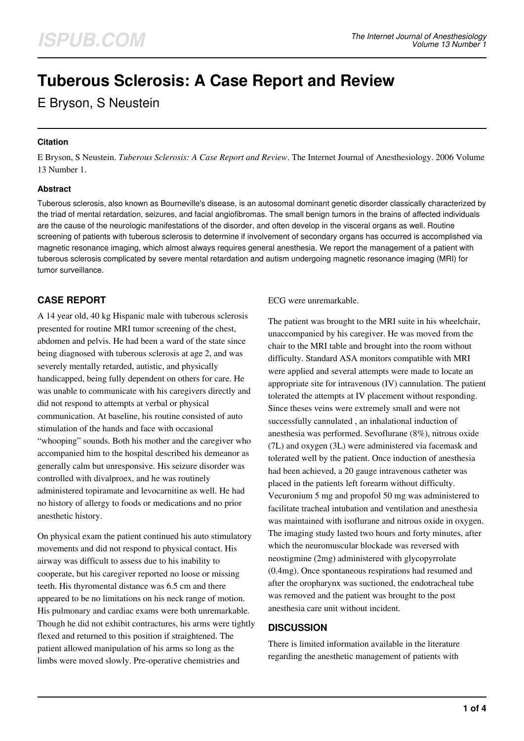# **Tuberous Sclerosis: A Case Report and Review**

E Bryson, S Neustein

## **Citation**

E Bryson, S Neustein. *Tuberous Sclerosis: A Case Report and Review*. The Internet Journal of Anesthesiology. 2006 Volume 13 Number 1.

## **Abstract**

Tuberous sclerosis, also known as Bourneville's disease, is an autosomal dominant genetic disorder classically characterized by the triad of mental retardation, seizures, and facial angiofibromas. The small benign tumors in the brains of affected individuals are the cause of the neurologic manifestations of the disorder, and often develop in the visceral organs as well. Routine screening of patients with tuberous sclerosis to determine if involvement of secondary organs has occurred is accomplished via magnetic resonance imaging, which almost always requires general anesthesia. We report the management of a patient with tuberous sclerosis complicated by severe mental retardation and autism undergoing magnetic resonance imaging (MRI) for tumor surveillance.

# **CASE REPORT**

A 14 year old, 40 kg Hispanic male with tuberous sclerosis presented for routine MRI tumor screening of the chest, abdomen and pelvis. He had been a ward of the state since being diagnosed with tuberous sclerosis at age 2, and was severely mentally retarded, autistic, and physically handicapped, being fully dependent on others for care. He was unable to communicate with his caregivers directly and did not respond to attempts at verbal or physical communication. At baseline, his routine consisted of auto stimulation of the hands and face with occasional "whooping" sounds. Both his mother and the caregiver who accompanied him to the hospital described his demeanor as generally calm but unresponsive. His seizure disorder was controlled with divalproex, and he was routinely administered topiramate and levocarnitine as well. He had no history of allergy to foods or medications and no prior anesthetic history.

On physical exam the patient continued his auto stimulatory movements and did not respond to physical contact. His airway was difficult to assess due to his inability to cooperate, but his caregiver reported no loose or missing teeth. His thyromental distance was 6.5 cm and there appeared to be no limitations on his neck range of motion. His pulmonary and cardiac exams were both unremarkable. Though he did not exhibit contractures, his arms were tightly flexed and returned to this position if straightened. The patient allowed manipulation of his arms so long as the limbs were moved slowly. Pre-operative chemistries and

ECG were unremarkable.

The patient was brought to the MRI suite in his wheelchair, unaccompanied by his caregiver. He was moved from the chair to the MRI table and brought into the room without difficulty. Standard ASA monitors compatible with MRI were applied and several attempts were made to locate an appropriate site for intravenous (IV) cannulation. The patient tolerated the attempts at IV placement without responding. Since theses veins were extremely small and were not successfully cannulated , an inhalational induction of anesthesia was performed. Sevoflurane (8%), nitrous oxide (7L) and oxygen (3L) were administered via facemask and tolerated well by the patient. Once induction of anesthesia had been achieved, a 20 gauge intravenous catheter was placed in the patients left forearm without difficulty. Vecuronium 5 mg and propofol 50 mg was administered to facilitate tracheal intubation and ventilation and anesthesia was maintained with isoflurane and nitrous oxide in oxygen. The imaging study lasted two hours and forty minutes, after which the neuromuscular blockade was reversed with neostigmine (2mg) administered with glycopyrrolate (0.4mg). Once spontaneous respirations had resumed and after the oropharynx was suctioned, the endotracheal tube was removed and the patient was brought to the post anesthesia care unit without incident.

## **DISCUSSION**

There is limited information available in the literature regarding the anesthetic management of patients with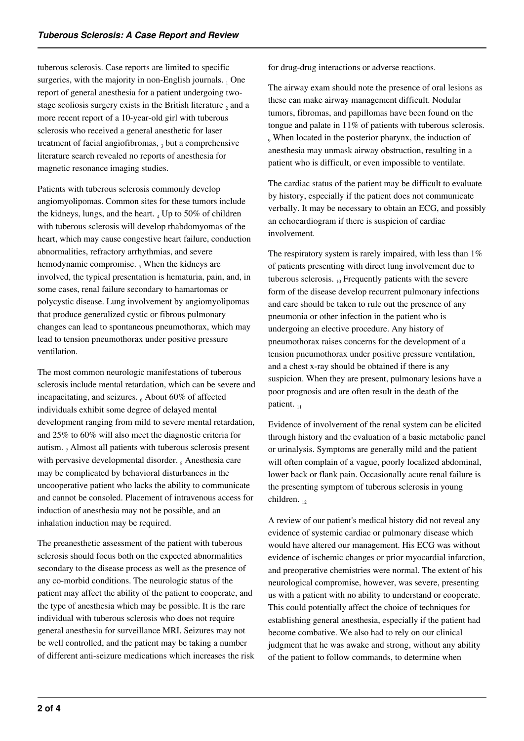tuberous sclerosis. Case reports are limited to specific surgeries, with the majority in non-English journals.  $_1$  One report of general anesthesia for a patient undergoing twostage scoliosis surgery exists in the British literature  $_2$  and a more recent report of a 10-year-old girl with tuberous sclerosis who received a general anesthetic for laser treatment of facial angiofibromas,  $_3$  but a comprehensive literature search revealed no reports of anesthesia for magnetic resonance imaging studies.

Patients with tuberous sclerosis commonly develop angiomyolipomas. Common sites for these tumors include the kidneys, lungs, and the heart.  $_4$  Up to 50% of children with tuberous sclerosis will develop rhabdomyomas of the heart, which may cause congestive heart failure, conduction abnormalities, refractory arrhythmias, and severe hemodynamic compromise.  $<sub>5</sub>$  When the kidneys are</sub> involved, the typical presentation is hematuria, pain, and, in some cases, renal failure secondary to hamartomas or polycystic disease. Lung involvement by angiomyolipomas that produce generalized cystic or fibrous pulmonary changes can lead to spontaneous pneumothorax, which may lead to tension pneumothorax under positive pressure ventilation.

The most common neurologic manifestations of tuberous sclerosis include mental retardation, which can be severe and incapacitating, and seizures.  $_6$  About 60% of affected individuals exhibit some degree of delayed mental development ranging from mild to severe mental retardation, and 25% to 60% will also meet the diagnostic criteria for autism.  $_7$  Almost all patients with tuberous sclerosis present with pervasive developmental disorder. <sub>8</sub> Anesthesia care may be complicated by behavioral disturbances in the uncooperative patient who lacks the ability to communicate and cannot be consoled. Placement of intravenous access for induction of anesthesia may not be possible, and an inhalation induction may be required.

The preanesthetic assessment of the patient with tuberous sclerosis should focus both on the expected abnormalities secondary to the disease process as well as the presence of any co-morbid conditions. The neurologic status of the patient may affect the ability of the patient to cooperate, and the type of anesthesia which may be possible. It is the rare individual with tuberous sclerosis who does not require general anesthesia for surveillance MRI. Seizures may not be well controlled, and the patient may be taking a number of different anti-seizure medications which increases the risk for drug-drug interactions or adverse reactions.

The airway exam should note the presence of oral lesions as these can make airway management difficult. Nodular tumors, fibromas, and papillomas have been found on the tongue and palate in 11% of patients with tuberous sclerosis. 9 When located in the posterior pharynx, the induction of anesthesia may unmask airway obstruction, resulting in a patient who is difficult, or even impossible to ventilate.

The cardiac status of the patient may be difficult to evaluate by history, especially if the patient does not communicate verbally. It may be necessary to obtain an ECG, and possibly an echocardiogram if there is suspicion of cardiac involvement.

The respiratory system is rarely impaired, with less than  $1\%$ of patients presenting with direct lung involvement due to tuberous sclerosis.  $_{10}$  Frequently patients with the severe form of the disease develop recurrent pulmonary infections and care should be taken to rule out the presence of any pneumonia or other infection in the patient who is undergoing an elective procedure. Any history of pneumothorax raises concerns for the development of a tension pneumothorax under positive pressure ventilation, and a chest x-ray should be obtained if there is any suspicion. When they are present, pulmonary lesions have a poor prognosis and are often result in the death of the patient.  $_{11}$ 

Evidence of involvement of the renal system can be elicited through history and the evaluation of a basic metabolic panel or urinalysis. Symptoms are generally mild and the patient will often complain of a vague, poorly localized abdominal, lower back or flank pain. Occasionally acute renal failure is the presenting symptom of tuberous sclerosis in young children. 12

A review of our patient's medical history did not reveal any evidence of systemic cardiac or pulmonary disease which would have altered our management. His ECG was without evidence of ischemic changes or prior myocardial infarction, and preoperative chemistries were normal. The extent of his neurological compromise, however, was severe, presenting us with a patient with no ability to understand or cooperate. This could potentially affect the choice of techniques for establishing general anesthesia, especially if the patient had become combative. We also had to rely on our clinical judgment that he was awake and strong, without any ability of the patient to follow commands, to determine when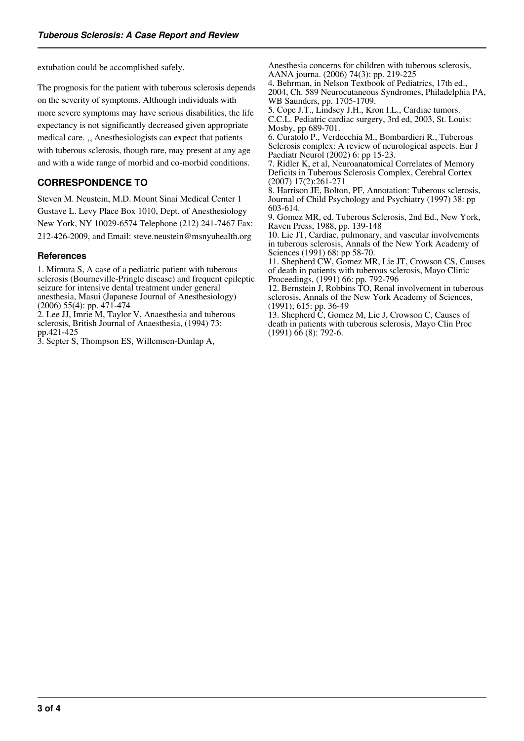extubation could be accomplished safely.

The prognosis for the patient with tuberous sclerosis depends on the severity of symptoms. Although individuals with more severe symptoms may have serious disabilities, the life expectancy is not significantly decreased given appropriate medical care.  $_{13}$  Anesthesiologists can expect that patients with tuberous sclerosis, though rare, may present at any age and with a wide range of morbid and co-morbid conditions.

# **CORRESPONDENCE TO**

Steven M. Neustein, M.D. Mount Sinai Medical Center 1 Gustave L. Levy Place Box 1010, Dept. of Anesthesiology New York, NY 10029-6574 Telephone (212) 241-7467 Fax: 212-426-2009, and Email: steve.neustein@msnyuhealth.org

### **References**

1. Mimura S, A case of a pediatric patient with tuberous sclerosis (Bourneville-Pringle disease) and frequent epileptic seizure for intensive dental treatment under general anesthesia, Masui (Japanese Journal of Anesthesiology) (2006) 55(4): pp. 471-474

2. Lee JJ, Imrie M, Taylor V, Anaesthesia and tuberous sclerosis, British Journal of Anaesthesia, (1994) 73: pp.421-425

3. Septer S, Thompson ES, Willemsen-Dunlap A,

Anesthesia concerns for children with tuberous sclerosis, AANA journa. (2006) 74(3): pp. 219-225

4. Behrman, in Nelson Textbook of Pediatrics, 17th ed., 2004, Ch. 589 Neurocutaneous Syndromes, Philadelphia PA, WB Saunders, pp. 1705-1709.

5. Cope J.T., Lindsey J.H., Kron I.L., Cardiac tumors. C.C.L. Pediatric cardiac surgery, 3rd ed, 2003, St. Louis: Mosby, pp 689-701.

6. Curatolo P., Verdecchia M., Bombardieri R., Tuberous Sclerosis complex: A review of neurological aspects. Eur J Paediatr Neurol (2002) 6: pp 15-23.

7. Ridler K, et al, Neuroanatomical Correlates of Memory Deficits in Tuberous Sclerosis Complex, Cerebral Cortex (2007) 17(2):261-271

8. Harrison JE, Bolton, PF, Annotation: Tuberous sclerosis, Journal of Child Psychology and Psychiatry (1997) 38: pp 603-614.

9. Gomez MR, ed. Tuberous Sclerosis, 2nd Ed., New York, Raven Press, 1988, pp. 139-148

10. Lie JT, Cardiac, pulmonary, and vascular involvements in tuberous sclerosis, Annals of the New York Academy of Sciences (1991) 68: pp 58-70.

11. Shepherd CW, Gomez MR, Lie JT, Crowson CS, Causes of death in patients with tuberous sclerosis, Mayo Clinic Proceedings, (1991) 66: pp. 792-796

12. Bernstein J, Robbins TO, Renal involvement in tuberous sclerosis, Annals of the New York Academy of Sciences, (1991); 615: pp. 36-49

13. Shepherd C, Gomez M, Lie J, Crowson C, Causes of death in patients with tuberous sclerosis, Mayo Clin Proc  $(1991)$  66 (8): 792-6.